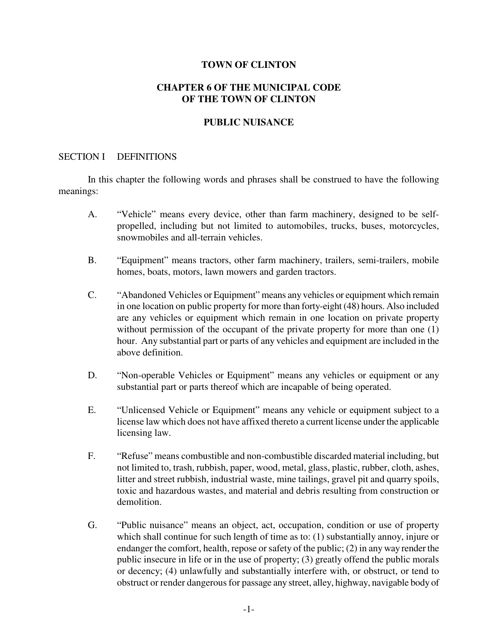#### **TOWN OF CLINTON**

## **CHAPTER 6 OF THE MUNICIPAL CODE OF THE TOWN OF CLINTON**

### **PUBLIC NUISANCE**

#### SECTION I DEFINITIONS

In this chapter the following words and phrases shall be construed to have the following meanings:

- A. "Vehicle" means every device, other than farm machinery, designed to be selfpropelled, including but not limited to automobiles, trucks, buses, motorcycles, snowmobiles and all-terrain vehicles.
- B. "Equipment" means tractors, other farm machinery, trailers, semi-trailers, mobile homes, boats, motors, lawn mowers and garden tractors.
- C. "Abandoned Vehicles or Equipment" means any vehicles or equipment which remain in one location on public property for more than forty-eight (48) hours. Also included are any vehicles or equipment which remain in one location on private property without permission of the occupant of the private property for more than one (1) hour. Any substantial part or parts of any vehicles and equipment are included in the above definition.
- D. "Non-operable Vehicles or Equipment" means any vehicles or equipment or any substantial part or parts thereof which are incapable of being operated.
- E. "Unlicensed Vehicle or Equipment" means any vehicle or equipment subject to a license law which does not have affixed thereto a current license under the applicable licensing law.
- F. "Refuse" means combustible and non-combustible discarded material including, but not limited to, trash, rubbish, paper, wood, metal, glass, plastic, rubber, cloth, ashes, litter and street rubbish, industrial waste, mine tailings, gravel pit and quarry spoils, toxic and hazardous wastes, and material and debris resulting from construction or demolition.
- G. "Public nuisance" means an object, act, occupation, condition or use of property which shall continue for such length of time as to: (1) substantially annoy, injure or endanger the comfort, health, repose or safety of the public; (2) in any way render the public insecure in life or in the use of property; (3) greatly offend the public morals or decency; (4) unlawfully and substantially interfere with, or obstruct, or tend to obstruct or render dangerous for passage any street, alley, highway, navigable body of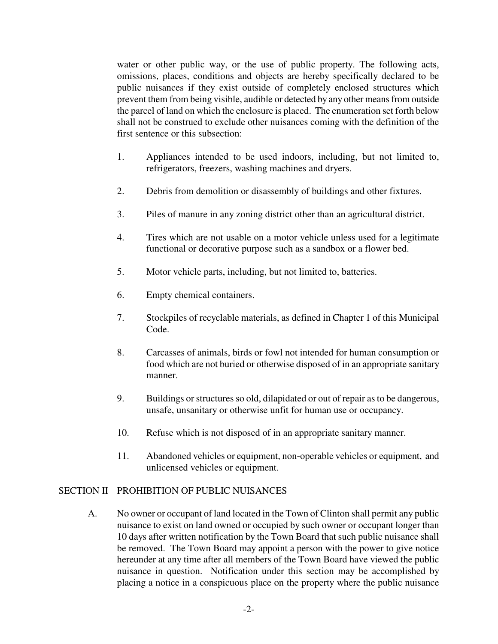water or other public way, or the use of public property. The following acts, omissions, places, conditions and objects are hereby specifically declared to be public nuisances if they exist outside of completely enclosed structures which prevent them from being visible, audible or detected by any other means from outside the parcel of land on which the enclosure is placed. The enumeration set forth below shall not be construed to exclude other nuisances coming with the definition of the first sentence or this subsection:

- 1. Appliances intended to be used indoors, including, but not limited to, refrigerators, freezers, washing machines and dryers.
- 2. Debris from demolition or disassembly of buildings and other fixtures.
- 3. Piles of manure in any zoning district other than an agricultural district.
- 4. Tires which are not usable on a motor vehicle unless used for a legitimate functional or decorative purpose such as a sandbox or a flower bed.
- 5. Motor vehicle parts, including, but not limited to, batteries.
- 6. Empty chemical containers.
- 7. Stockpiles of recyclable materials, as defined in Chapter 1 of this Municipal Code.
- 8. Carcasses of animals, birds or fowl not intended for human consumption or food which are not buried or otherwise disposed of in an appropriate sanitary manner.
- 9. Buildings or structures so old, dilapidated or out of repair as to be dangerous, unsafe, unsanitary or otherwise unfit for human use or occupancy.
- 10. Refuse which is not disposed of in an appropriate sanitary manner.
- 11. Abandoned vehicles or equipment, non-operable vehicles or equipment, and unlicensed vehicles or equipment.

### SECTION II PROHIBITION OF PUBLIC NUISANCES

A. No owner or occupant of land located in the Town of Clinton shall permit any public nuisance to exist on land owned or occupied by such owner or occupant longer than 10 days after written notification by the Town Board that such public nuisance shall be removed. The Town Board may appoint a person with the power to give notice hereunder at any time after all members of the Town Board have viewed the public nuisance in question. Notification under this section may be accomplished by placing a notice in a conspicuous place on the property where the public nuisance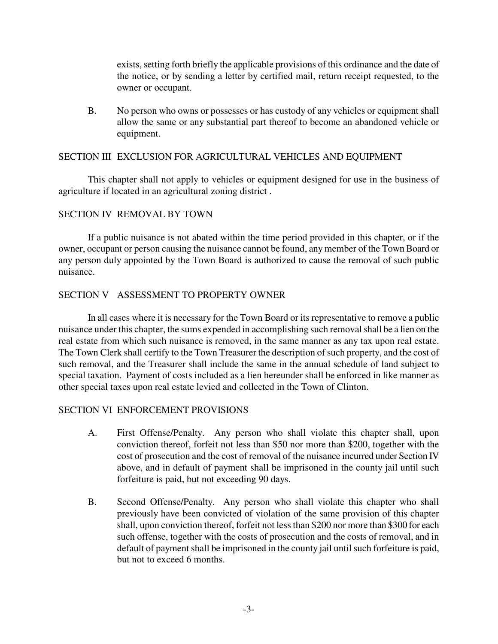exists, setting forth briefly the applicable provisions of this ordinance and the date of the notice, or by sending a letter by certified mail, return receipt requested, to the owner or occupant.

B. No person who owns or possesses or has custody of any vehicles or equipment shall allow the same or any substantial part thereof to become an abandoned vehicle or equipment.

# SECTION III EXCLUSION FOR AGRICULTURAL VEHICLES AND EQUIPMENT

This chapter shall not apply to vehicles or equipment designed for use in the business of agriculture if located in an agricultural zoning district .

### SECTION IV REMOVAL BY TOWN

If a public nuisance is not abated within the time period provided in this chapter, or if the owner, occupant or person causing the nuisance cannot be found, any member of the Town Board or any person duly appointed by the Town Board is authorized to cause the removal of such public nuisance.

# SECTION V ASSESSMENT TO PROPERTY OWNER

In all cases where it is necessary for the Town Board or its representative to remove a public nuisance under this chapter, the sums expended in accomplishing such removal shall be a lien on the real estate from which such nuisance is removed, in the same manner as any tax upon real estate. The Town Clerk shall certify to the Town Treasurer the description of such property, and the cost of such removal, and the Treasurer shall include the same in the annual schedule of land subject to special taxation. Payment of costs included as a lien hereunder shall be enforced in like manner as other special taxes upon real estate levied and collected in the Town of Clinton.

### SECTION VI ENFORCEMENT PROVISIONS

- A. First Offense/Penalty. Any person who shall violate this chapter shall, upon conviction thereof, forfeit not less than \$50 nor more than \$200, together with the cost of prosecution and the cost of removal of the nuisance incurred under Section IV above, and in default of payment shall be imprisoned in the county jail until such forfeiture is paid, but not exceeding 90 days.
- B. Second Offense/Penalty. Any person who shall violate this chapter who shall previously have been convicted of violation of the same provision of this chapter shall, upon conviction thereof, forfeit not less than \$200 nor more than \$300 for each such offense, together with the costs of prosecution and the costs of removal, and in default of payment shall be imprisoned in the county jail until such forfeiture is paid, but not to exceed 6 months.